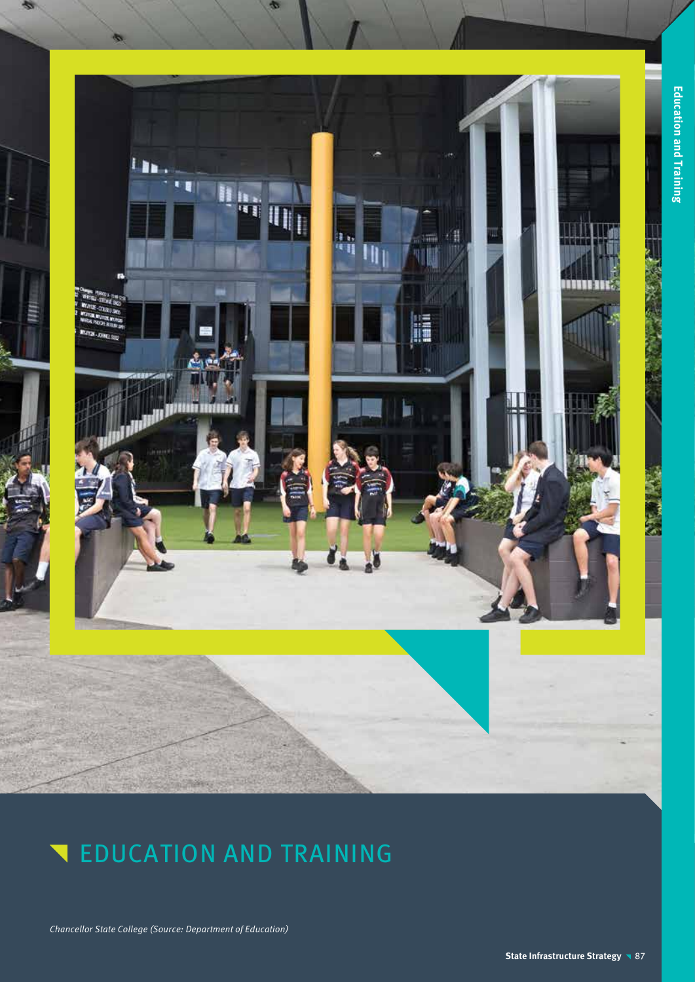

Chancellor State College (Source: Department of Education)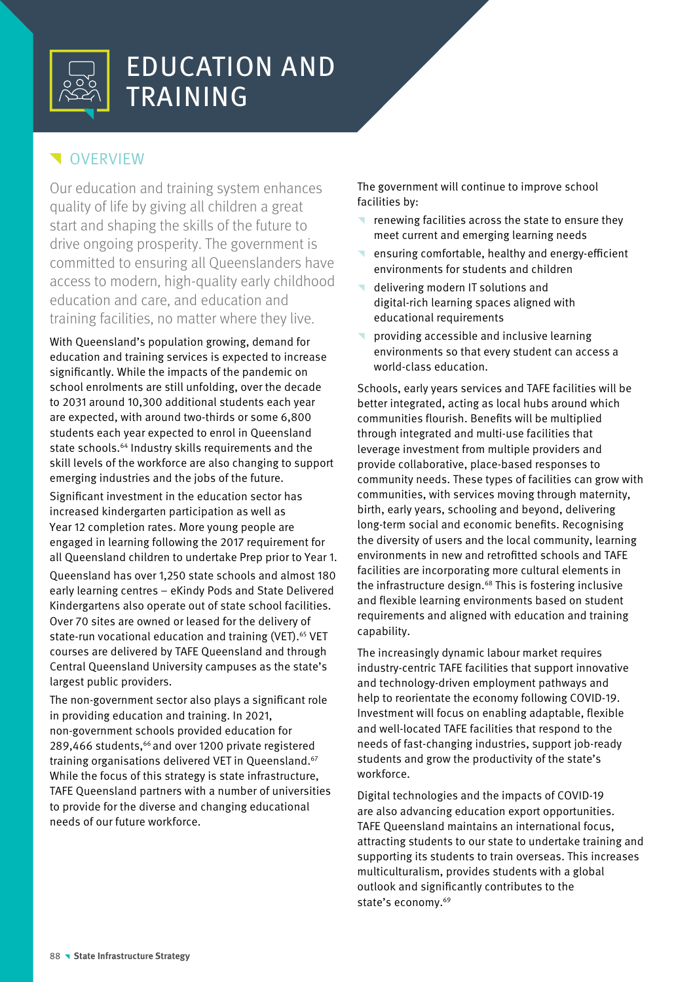

## **V**OVERVIEW

Our education and training system enhances quality of life by giving all children a great start and shaping the skills of the future to drive ongoing prosperity. The government is committed to ensuring all Queenslanders have access to modern, high-quality early childhood education and care, and education and training facilities, no matter where they live.

With Queensland's population growing, demand for education and training services is expected to increase significantly. While the impacts of the pandemic on school enrolments are still unfolding, over the decade to 2031 around 10,300 additional students each year are expected, with around two-thirds or some 6,800 students each year expected to enrol in Queensland state schools.<sup>64</sup> Industry skills requirements and the skill levels of the workforce are also changing to support emerging industries and the jobs of the future.

Significant investment in the education sector has increased kindergarten participation as well as Year 12 completion rates. More young people are engaged in learning following the 2017 requirement for all Queensland children to undertake Prep prior to Year 1.

Queensland has over 1,250 state schools and almost 180 early learning centres – eKindy Pods and State Delivered Kindergartens also operate out of state school facilities. Over 70 sites are owned or leased for the delivery of state-run vocational education and training (VET).<sup>65</sup> VET courses are delivered by TAFE Queensland and through Central Queensland University campuses as the state's largest public providers.

The non-government sector also plays a significant role in providing education and training. In 2021, non-government schools provided education for 289,466 students,<sup>66</sup> and over 1200 private registered training organisations delivered VET in Queensland.67 While the focus of this strategy is state infrastructure, TAFE Queensland partners with a number of universities to provide for the diverse and changing educational needs of our future workforce.

The government will continue to improve school facilities by:

- renewing facilities across the state to ensure they meet current and emerging learning needs
- ensuring comfortable, healthy and energy-efficient environments for students and children
- delivering modern IT solutions and digital-rich learning spaces aligned with educational requirements
- providing accessible and inclusive learning environments so that every student can access a world-class education.

Schools, early years services and TAFE facilities will be better integrated, acting as local hubs around which communities flourish. Benefits will be multiplied through integrated and multi-use facilities that leverage investment from multiple providers and provide collaborative, place-based responses to community needs. These types of facilities can grow with communities, with services moving through maternity, birth, early years, schooling and beyond, delivering long-term social and economic benefits. Recognising the diversity of users and the local community, learning environments in new and retrofitted schools and TAFE facilities are incorporating more cultural elements in the infrastructure design.68 This is fostering inclusive and flexible learning environments based on student requirements and aligned with education and training capability.

The increasingly dynamic labour market requires industry-centric TAFE facilities that support innovative and technology-driven employment pathways and help to reorientate the economy following COVID-19. Investment will focus on enabling adaptable, flexible and well-located TAFE facilities that respond to the needs of fast-changing industries, support job-ready students and grow the productivity of the state's workforce.

Digital technologies and the impacts of COVID-19 are also advancing education export opportunities. TAFE Queensland maintains an international focus, attracting students to our state to undertake training and supporting its students to train overseas. This increases multiculturalism, provides students with a global outlook and significantly contributes to the state's economy.<sup>69</sup>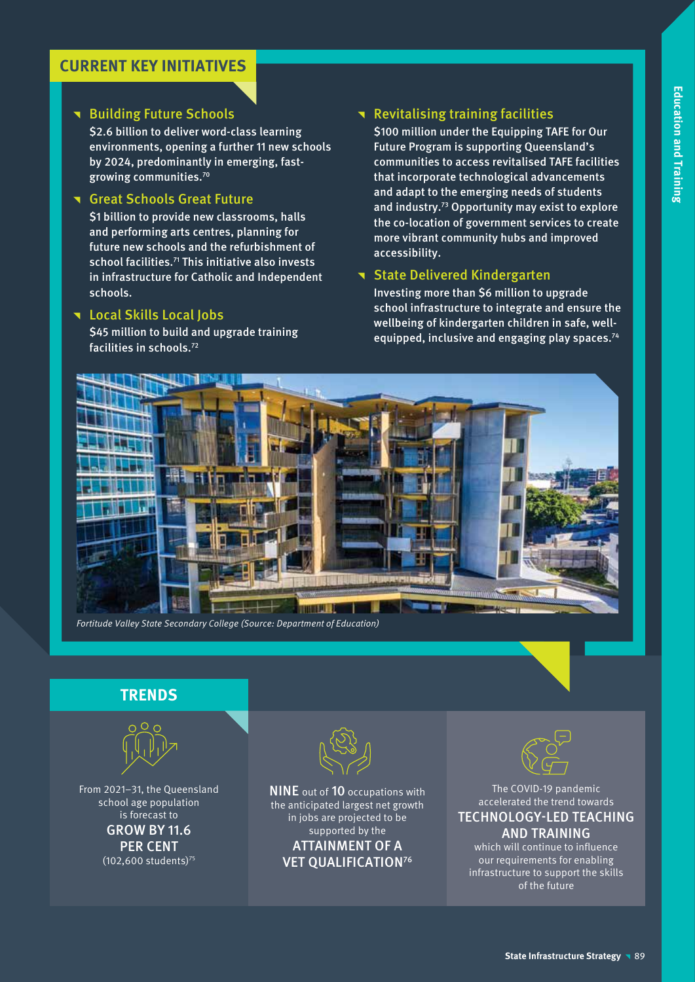## **CURRENT KEY INITIATIVES**

### **T** Building Future Schools

\$2.6 billion to deliver word-class learning environments, opening a further 11 new schools by 2024, predominantly in emerging, fastgrowing communities.70

### **T** Great Schools Great Future

\$1 billion to provide new classrooms, halls and performing arts centres, planning for future new schools and the refurbishment of school facilities.<sup>71</sup> This initiative also invests in infrastructure for Catholic and Independent schools.

### **T** Local Skills Local Jobs

\$45 million to build and upgrade training facilities in schools.72

### **Revitalising training facilities**

\$100 million under the Equipping TAFE for Our Future Program is supporting Queensland's communities to access revitalised TAFE facilities that incorporate technological advancements and adapt to the emerging needs of students and industry.73 Opportunity may exist to explore the co-location of government services to create more vibrant community hubs and improved accessibility.

### **T** State Delivered Kindergarten

Investing more than \$6 million to upgrade school infrastructure to integrate and ensure the wellbeing of kindergarten children in safe, wellequipped, inclusive and engaging play spaces.74



Fortitude Valley State Secondary College (Source: Department of Education)

## **TRENDS**



From 2021–31, the Queensland school age population is forecast to GROW BY 11.6 PER CENT  $(102,600$  students)<sup>75</sup>



NINE out of 10 occupations with the anticipated largest net growth in jobs are projected to be supported by the ATTAINMENT OF A VET QUALIFICATION76



The COVID-19 pandemic accelerated the trend towards TECHNOLOGY-LED TEACHING AND TRAINING

which will continue to influence our requirements for enabling infrastructure to support the skills of the future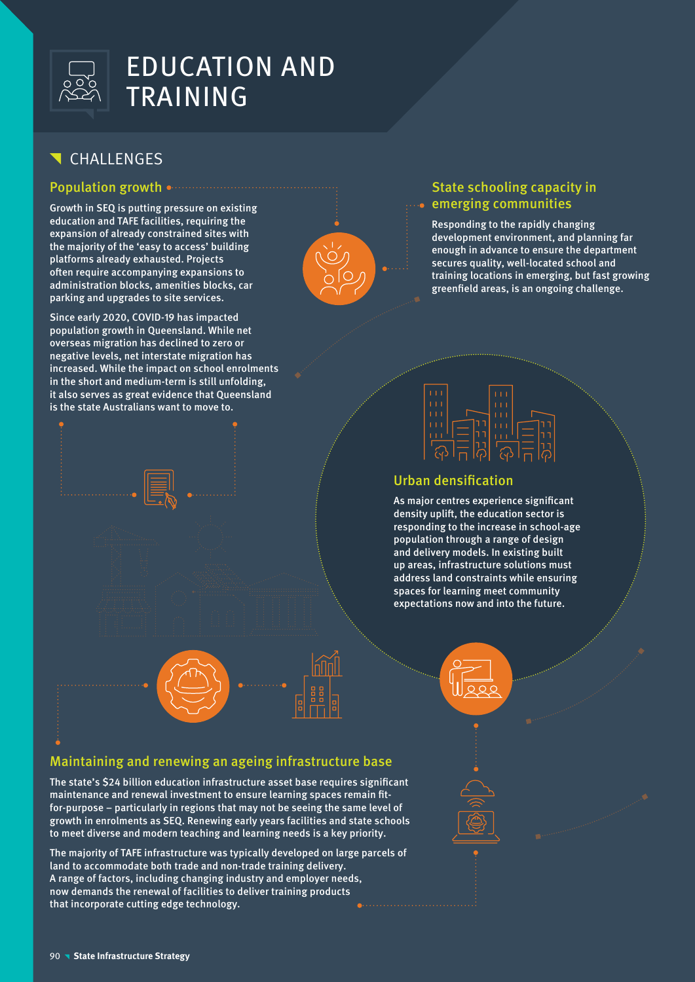

## **T** CHALLENGES

### Population growth

Growth in SEQ is putting pressure on existing education and TAFE facilities, requiring the expansion of already constrained sites with the majority of the 'easy to access' building platforms already exhausted. Projects often require accompanying expansions to administration blocks, amenities blocks, car parking and upgrades to site services.

Since early 2020, COVID-19 has impacted population growth in Queensland. While net overseas migration has declined to zero or negative levels, net interstate migration has increased. While the impact on school enrolments in the short and medium-term is still unfolding, it also serves as great evidence that Queensland is the state Australians want to move to.



### State schooling capacity in emerging communities

Responding to the rapidly changing development environment, and planning far enough in advance to ensure the department secures quality, well-located school and training locations in emerging, but fast growing greenfield areas, is an ongoing challenge.



### Urban densification

As major centres experience significant density uplift, the education sector is responding to the increase in school-age population through a range of design and delivery models. In existing built up areas, infrastructure solutions must address land constraints while ensuring spaces for learning meet community expectations now and into the future.





## Maintaining and renewing an ageing infrastructure base

The state's \$24 billion education infrastructure asset base requires significant maintenance and renewal investment to ensure learning spaces remain fitfor-purpose – particularly in regions that may not be seeing the same level of growth in enrolments as SEQ. Renewing early years facilities and state schools to meet diverse and modern teaching and learning needs is a key priority.

The majority of TAFE infrastructure was typically developed on large parcels of land to accommodate both trade and non-trade training delivery. A range of factors, including changing industry and employer needs, now demands the renewal of facilities to deliver training products that incorporate cutting edge technology.

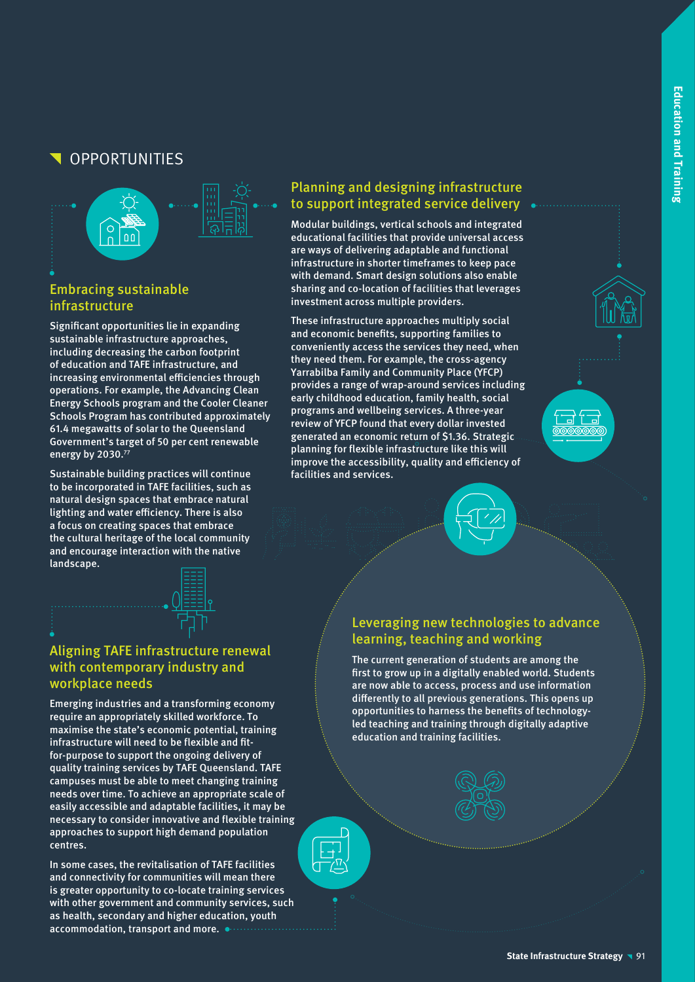## **OPPORTUNITIES**



### Embracing sustainable infrastructure

Significant opportunities lie in expanding sustainable infrastructure approaches, including decreasing the carbon footprint of education and TAFE infrastructure, and increasing environmental efficiencies through operations. For example, the Advancing Clean Energy Schools program and the Cooler Cleaner Schools Program has contributed approximately 61.4 megawatts of solar to the Queensland Government's target of 50 per cent renewable energy by 2030.77

Sustainable building practices will continue to be incorporated in TAFE facilities, such as natural design spaces that embrace natural lighting and water efficiency. There is also a focus on creating spaces that embrace the cultural heritage of the local community and encourage interaction with the native landscape.



### Aligning TAFE infrastructure renewal with contemporary industry and workplace needs

Emerging industries and a transforming economy require an appropriately skilled workforce. To maximise the state's economic potential, training infrastructure will need to be flexible and fitfor-purpose to support the ongoing delivery of quality training services by TAFE Queensland. TAFE campuses must be able to meet changing training needs over time. To achieve an appropriate scale of easily accessible and adaptable facilities, it may be necessary to consider innovative and flexible training approaches to support high demand population centres.

In some cases, the revitalisation of TAFE facilities and connectivity for communities will mean there is greater opportunity to co-locate training services with other government and community services, such as health, secondary and higher education, youth accommodation, transport and more.

## Planning and designing infrastructure to support integrated service delivery

Modular buildings, vertical schools and integrated educational facilities that provide universal access are ways of delivering adaptable and functional infrastructure in shorter timeframes to keep pace with demand. Smart design solutions also enable sharing and co-location of facilities that leverages investment across multiple providers.

These infrastructure approaches multiply social and economic benefits, supporting families to conveniently access the services they need, when they need them. For example, the cross-agency Yarrabilba Family and Community Place (YFCP) provides a range of wrap-around services including early childhood education, family health, social programs and wellbeing services. A three-year review of YFCP found that every dollar invested generated an economic return of \$1.36. Strategic planning for flexible infrastructure like this will improve the accessibility, quality and efficiency of facilities and services.





### Leveraging new technologies to advance learning, teaching and working

The current generation of students are among the first to grow up in a digitally enabled world. Students are now able to access, process and use information differently to all previous generations. This opens up opportunities to harness the benefits of technologyled teaching and training through digitally adaptive education and training facilities.

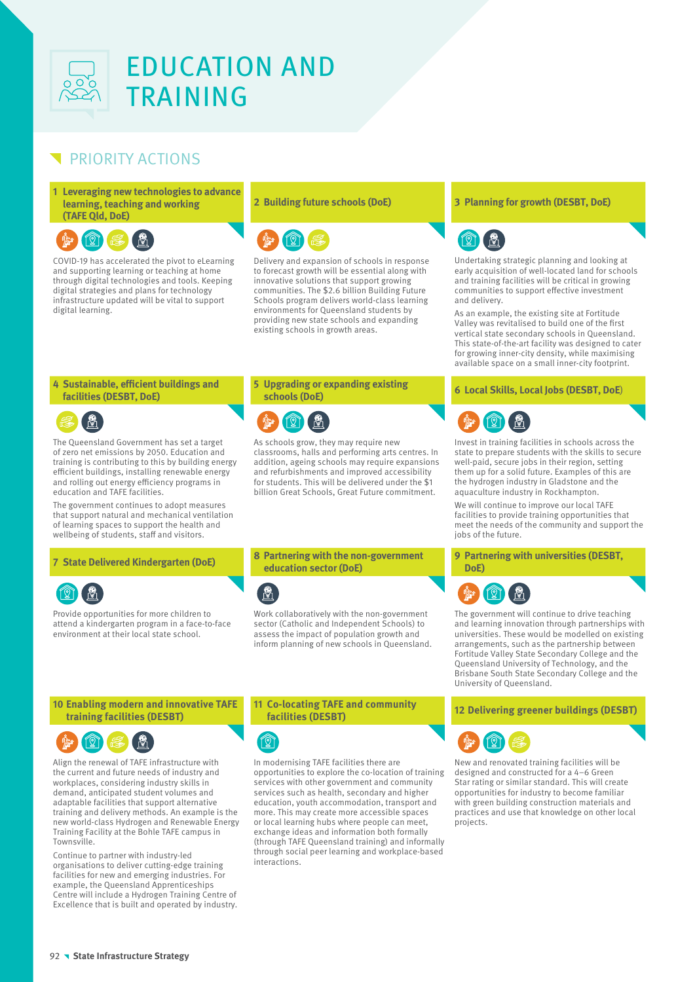

## PRIORITY ACTIONS

**1 Leveraging new technologies to advance learning, teaching and working (TAFE Qld, DoE)**



COVID-19 has accelerated the pivot to eLearning and supporting learning or teaching at home through digital technologies and tools. Keeping digital strategies and plans for technology infrastructure updated will be vital to support digital learning.



Delivery and expansion of schools in response to forecast growth will be essential along with innovative solutions that support growing communities. The \$2.6 billion Building Future Schools program delivers world-class learning environments for Queensland students by providing new state schools and expanding existing schools in growth areas.

### **4 Sustainable, efficient buildings and facilities (DESBT, DoE)**



The Queensland Government has set a target of zero net emissions by 2050. Education and training is contributing to this by building energy efficient buildings, installing renewable energy and rolling out energy efficiency programs in education and TAFE facilities.

The government continues to adopt measures that support natural and mechanical ventilation of learning spaces to support the health and wellbeing of students, staff and visitors.



Provide opportunities for more children to attend a kindergarten program in a face-to-face environment at their local state school.

## **5 Upgrading or expanding existing**



As schools grow, they may require new classrooms, halls and performing arts centres. In addition, ageing schools may require expansions and refurbishments and improved accessibility for students. This will be delivered under the \$1 billion Great Schools, Great Future commitment.

**<sup>7</sup> State Delivered Kindergarten (DoE) <sup>8</sup> Partnering with the non-government education sector (DoE)**



Work collaboratively with the non-government sector (Catholic and Independent Schools) to assess the impact of population growth and inform planning of new schools in Queensland.

### **10 Enabling modern and innovative TAFE training facilities (DESBT)**



Align the renewal of TAFE infrastructure with the current and future needs of industry and workplaces, considering industry skills in demand, anticipated student volumes and adaptable facilities that support alternative training and delivery methods. An example is the new world-class Hydrogen and Renewable Energy Training Facility at the Bohle TAFE campus in Townsville.

Continue to partner with industry-led organisations to deliver cutting-edge training facilities for new and emerging industries. For example, the Queensland Apprenticeships Centre will include a Hydrogen Training Centre of Excellence that is built and operated by industry.

#### **11 Co-locating TAFE and community facilities (DESBT) <sup>12</sup> Delivering greener buildings (DESBT)**



In modernising TAFE facilities there are opportunities to explore the co-location of training services with other government and community services such as health, secondary and higher education, youth accommodation, transport and more. This may create more accessible spaces or local learning hubs where people can meet, exchange ideas and information both formally (through TAFE Queensland training) and informally through social peer learning and workplace-based interactions.

### **2 Building future schools (DoE) 3 Planning for growth (DESBT, DoE)**



Undertaking strategic planning and looking at early acquisition of well-located land for schools and training facilities will be critical in growing communities to support effective investment and delivery.

As an example, the existing site at Fortitude Valley was revitalised to build one of the first vertical state secondary schools in Queensland. This state-of-the-art facility was designed to cater for growing inner-city density, while maximising available space on a small inner-city footprint.

### **schools (DoE) <sup>6</sup> Local Skills, Local Jobs (DESBT, DoE**)



Invest in training facilities in schools across the state to prepare students with the skills to secure well-paid, secure jobs in their region, setting them up for a solid future. Examples of this are the hydrogen industry in Gladstone and the aquaculture industry in Rockhampton.

We will continue to improve our local TAFE facilities to provide training opportunities that meet the needs of the community and support the jobs of the future.

**9 Partnering with universities (DESBT, DoE)**



The government will continue to drive teaching and learning innovation through partnerships with universities. These would be modelled on existing arrangements, such as the partnership between Fortitude Valley State Secondary College and the Queensland University of Technology, and the Brisbane South State Secondary College and the University of Queensland.



New and renovated training facilities will be designed and constructed for a 4–6 Green Star rating or similar standard. This will create opportunities for industry to become familiar with green building construction materials and practices and use that knowledge on other local projects.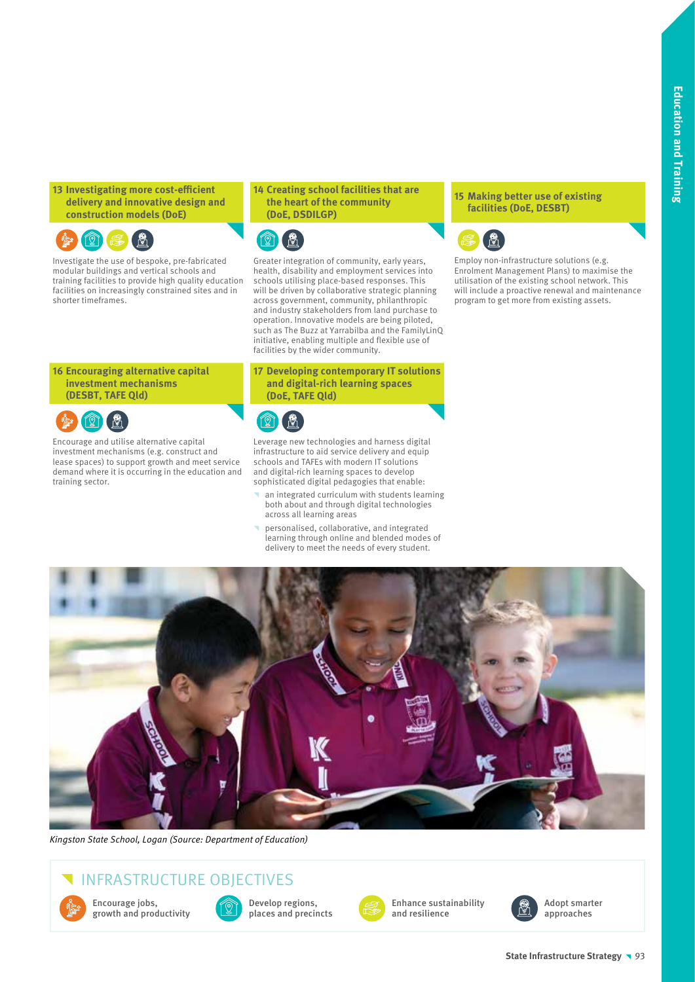**13 Investigating more cost-efficient delivery and innovative design and construction models (DoE)**



Investigate the use of bespoke, pre-fabricated modular buildings and vertical schools and training facilities to provide high quality education facilities on increasingly constrained sites and in shorter timeframes.

#### **16 Encouraging alternative capital investment mechanisms (DESBT, TAFE Qld)**



Encourage and utilise alternative capital investment mechanisms (e.g. construct and lease spaces) to support growth and meet service demand where it is occurring in the education and training sector.

#### **14 Creating school facilities that are the heart of the community (DoE, DSDILGP)**



Greater integration of community, early years, health, disability and employment services into schools utilising place-based responses. This will be driven by collaborative strategic planning across government, community, philanthropic and industry stakeholders from land purchase to operation. Innovative models are being piloted, such as The Buzz at Yarrabilba and the FamilyLinQ initiative, enabling multiple and flexible use of facilities by the wider community.

### **17 Developing contemporary IT solutions and digital-rich learning spaces (DoE, TAFE Qld)**



Leverage new technologies and harness digital infrastructure to aid service delivery and equip schools and TAFEs with modern IT solutions and digital-rich learning spaces to develop sophisticated digital pedagogies that enable:

- an integrated curriculum with students learning an *inergraph* and through digital technologies across all learning areas
- ^ personalised, collaborative, and integrated learning through online and blended modes of delivery to meet the needs of every student.

### **15 Making better use of existing facilities (DoE, DESBT)**



Employ non-infrastructure solutions (e.g. Enrolment Management Plans) to maximise the utilisation of the existing school network. This will include a proactive renewal and maintenance program to get more from existing assets.



Kingston State School, Logan (Source: Department of Education)

## INFRASTRUCTURE OBJECTIVES



Encourage jobs, growth and productivity



Develop regions, places and precincts



Enhance sustainability and resilience